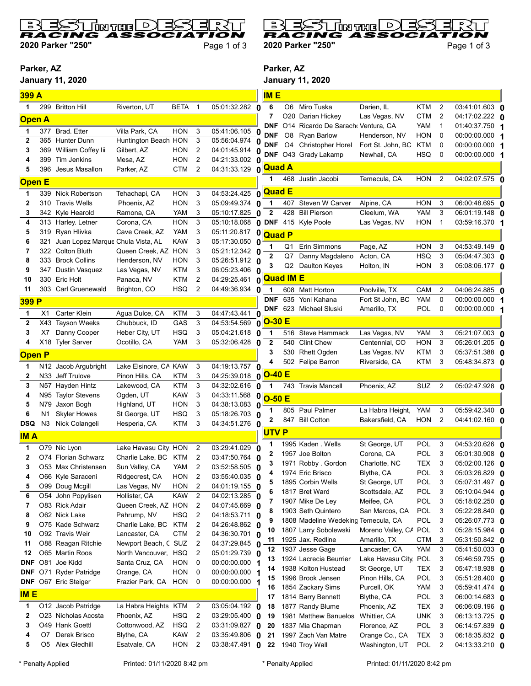

2020 Parker "250" Page 1 of 3

## **Ederor cad** L D RACIN ю o (

2020 Parker "250" Page 1 of 3

 $\overline{D}$ 

## Parker, AZ

January 11, 2020



| 399 A         |     |                                   |                       |            |                         |                       | <b>IME</b>                   |     |                                      |                               |            |                |                                  |  |
|---------------|-----|-----------------------------------|-----------------------|------------|-------------------------|-----------------------|------------------------------|-----|--------------------------------------|-------------------------------|------------|----------------|----------------------------------|--|
| 1             | 299 | <b>Britton Hill</b>               | Riverton, UT          | BETA 1     |                         | 05:01:32.282 0        | 6                            | O6  | Miro Tuska                           | Darien, IL                    | KTM        | 2              | 03:41:01.603 0                   |  |
|               |     |                                   |                       |            |                         |                       | 7                            |     | O20 Darian Hickey                    | Las Vegas, NV                 | CTM        | 2              | 04:17:02.222 <b>0</b>            |  |
| <b>Open A</b> |     |                                   |                       |            |                         |                       | <b>DNF</b>                   |     | O14 Ricardo De Sarach Ventura, CA    |                               | YAM        | 1              | 01:40:37.750 1                   |  |
| 1             | 377 | Brad. Etter                       | Villa Park, CA        | HON        | 3                       | 05:41:06.105 0        | <b>DNF</b>                   | O8  | <b>Ryan Barlow</b>                   | Henderson, NV                 | HON        | 0              | 00:00:00.000 1                   |  |
| $\mathbf 2$   | 365 | <b>Hunter Dunn</b>                | Huntington Beach HON  |            | 3                       | 05:56:04.974 0        | <b>DNF</b>                   | O4  | Christopher Horel                    | Fort St. John, BC             | KTM        | 0              | 00:00:00.000 1                   |  |
| 3             | 369 | William Coffey lii                | Gilbert, AZ           | <b>HON</b> | 2                       | 04:01:45.914 0        | <b>DNF</b>                   |     | O43 Grady Lakamp                     | Newhall, CA                   | <b>HSQ</b> | 0              | 00:00:00.000 1                   |  |
| 4             | 399 | Tim Jenkins                       | Mesa, AZ              | <b>HON</b> | 2                       | 04:21:33.002 0        | <b>Quad A</b>                |     |                                      |                               |            |                |                                  |  |
| 5             | 396 | Jesus Masallon                    | Parker, AZ            | <b>CTM</b> | $\overline{2}$          | 04:31:33.129 0        | 1                            |     | 468 Justin Jacobi                    | Temecula, CA                  | HON        | $\overline{2}$ | 04:02:07.575 0                   |  |
| <b>Open E</b> |     |                                   |                       |            |                         |                       |                              |     |                                      |                               |            |                |                                  |  |
| 1             |     | 339 Nick Robertson                | Tehachapi, CA         | <b>HON</b> | 3                       | 04:53:24.425          | <b>Quad E</b><br>0           |     |                                      |                               |            |                |                                  |  |
| 2             | 310 | <b>Travis Wells</b>               | Phoenix, AZ           | <b>HON</b> | 3                       | 05:09:49.374          | $\overline{1}$<br>O          | 407 | Steven W Carver                      | Alpine, CA                    | <b>HON</b> | 3              | 06:00:48.695 0                   |  |
| 3             | 342 | Kyle Hearold                      | Ramona, CA            | <b>YAM</b> | 3                       | 05:10:17.825 0        | $\mathbf{2}$                 | 428 | <b>Bill Pierson</b>                  | Cleelum, WA                   | <b>YAM</b> | 3              | 06:01:19.148 <b>0</b>            |  |
| 4             |     | 313 Harley. Letner                | Corona, CA            | <b>HON</b> | 3                       | 05:10:18.068          | 0 DNF                        |     | 415 Kyle Poole                       | Las Vegas, NV                 | <b>HON</b> | 1              | 03:59:16.370 1                   |  |
| 5             | 319 | Ryan Hlivka                       | Cave Creek, AZ        | YAM        | 3                       | 05:11:20.817          | 0<br><b>Quad P</b>           |     |                                      |                               |            |                |                                  |  |
| 6             | 321 | Juan Lopez Marque Chula Vista, AL |                       | Kaw        | 3                       | 05:17:30.050          | 0<br>1                       | Q1  | Erin Simmons                         | Page, AZ                      | HON        | 3              | 04:53:49.149 0                   |  |
| 7             |     | 322 Colton Bluth                  | Queen Creek, AZ HON   |            | 3                       | 05:21:12.342 0        | 2                            | Q7  | Danny Magdaleno                      | Acton, CA                     | <b>HSQ</b> | 3              | 05:04:47.303 0                   |  |
| 8             |     | 333 Brock Collins                 | Henderson, NV         | HON        | 3                       | 05:26:51.912 0        |                              |     | Q2 Daulton Keyes                     | Holton, IN                    | HON        | 3              | 05:08:06.177 0                   |  |
| 9             | 347 | Dustin Vasquez                    | Las Vegas, NV         | KTM        | 3                       | 06:05:23.406 0        | <b>Quad IM E</b>             |     |                                      |                               |            |                |                                  |  |
| 10            | 330 | Eric Holt                         | Panaca, NV            | <b>KTM</b> | $\overline{2}$          | 04:29:25.461          | 0                            |     |                                      |                               |            |                |                                  |  |
| 11            |     | 303 Carl Gruenewald               | Brighton, CO          | <b>HSQ</b> | $\overline{2}$          | 04:49:36.934 0        | 1                            | 608 | Matt Horton                          | Poolville, TX                 | CAM        | 2              | 04:06:24.885 0                   |  |
| 399 P         |     |                                   |                       |            |                         |                       | <b>DNF</b>                   | 635 | Yoni Kahana                          | Fort St John, BC              | <b>YAM</b> | 0              | 00:00:00.000 1                   |  |
| 1             | X1  | Carter Klein                      | Agua Dulce, CA        | <b>KTM</b> | 3                       | 04:47:43.441          | <b>DNF</b><br>0              |     | 623 Michael Sluski                   | Amarillo, TX                  | POL        | 0              | 00:00:00.000 1                   |  |
| 2             | X43 | <b>Tayson Weeks</b>               | Chubbuck, ID          | GAS        | 3                       | 04:53:54.569 0        | $O-30E$                      |     |                                      |                               |            |                |                                  |  |
| 3             | X7  | Danny Cooper                      | Heber City, UT        | HSQ        | 3                       | 05:04:21.618 0        | 1                            |     | 516 Steve Hammack                    | Las Vegas, NV                 | YAM        | 3              | $05:21:07.003$ 0                 |  |
| 4             |     | X18 Tyler Sarver                  | Ocotillo, CA          | YAM        | 3                       | 05:32:06.428 0        | $\mathbf{2}$                 | 540 | <b>Clint Chew</b>                    | Centennial, CO                | <b>HON</b> | 3              | 05:26:01.205 0                   |  |
| <b>Open P</b> |     |                                   |                       |            |                         |                       | 3                            | 530 | Rhett Ogden                          | Las Vegas, NV                 | <b>KTM</b> | 3              | 05:37:51.388 0                   |  |
| 1             |     | N12 Jacob Argubright              | Lake Elsinore, CA KAW |            | 3                       | 04:19:13.757          | 0                            |     | 502 Felipe Barron                    | Riverside, CA                 | <b>KTM</b> | 3              | 05:48:34.873 0                   |  |
| 2             |     | N33 Jeff Trulove                  | Pinon Hills, CA       | <b>KTM</b> | 3                       | 04:25:39.018          | <b>O-40 E</b><br>$\mathbf 0$ |     |                                      |                               |            |                |                                  |  |
| 3             |     | N57 Hayden Hintz                  | Lakewood, CA          | <b>KTM</b> | 3                       | 04:32:02.616 0        | $\mathbf{1}$                 |     | 743 Travis Mancell                   | Phoenix, AZ                   | SUZ        | $\overline{2}$ | 05:02:47.928 0                   |  |
| 4             |     | N95 Taylor Stevens                | Ogden, UT             | <b>KAW</b> | 3                       | 04:33:11.568          | 0<br><b>O-50 E</b>           |     |                                      |                               |            |                |                                  |  |
| 5             | N79 | Jaxon Bogh                        | Highland, UT          | <b>HON</b> | 3                       | 04:38:13.083 0        |                              |     |                                      |                               |            |                |                                  |  |
| 6             | N1  | <b>Skyler Howes</b>               | St George, UT         | <b>HSQ</b> | 3                       | 05:18:26.703 0        |                              |     | 805 Paul Palmer                      | La Habra Height,              | YAM        | 3              | 05:59:42.340 0                   |  |
| <b>DSQ</b>    | N3  | Nick Colangeli                    | Hesperia, CA          | <b>KTM</b> | 3                       | 04:34:51.276 0        | 2                            |     | 847 Bill Cotton                      | Bakersfield, CA               | <b>HON</b> | 2              | 04:41:02.160 <b>0</b>            |  |
| <b>IMA</b>    |     |                                   |                       |            |                         |                       | <b>UTVP</b>                  |     |                                      |                               |            |                |                                  |  |
| 1             |     | O79 Nic Lyon                      | Lake Havasu City, HON |            | $\overline{2}$          | 03:29:41.029          | 0                            |     | 1995 Kaden . Wells                   | St George, UT                 | POL        | 3              | 04:53:20.626 0                   |  |
| 2             |     | O74 Florian Schwarz               | Charlie Lake, BC KTM  |            | $\overline{2}$          | 03:47:50.764          | 0                            |     | 1957 Joe Bolton                      | Corona, CA                    | POL        | 3              | 05:01:30.908 0                   |  |
| 3             |     | O53 Max Christensen               | Sun Valley, CA        | YAM        | 2                       | 03:52:58.505 0        |                              |     | 1971 Robby . Gordon                  | Charlotte, NC                 | TEX        | 3              | 05:02:00.126 0                   |  |
|               |     | O66 Kyle Saraceni                 | Ridgecrest, CA        | HON        | $\boldsymbol{2}$        | 03:55:40.035 0        | 4                            |     | 1974 Eric Brisco                     | Blythe, CA                    | POL        | 3              | 05:03:26.829 0                   |  |
| 5             |     | O99 Doug Mcgill                   | Las Vegas, NV         | <b>HON</b> | 2                       | 04:01:19.155 0        | 5                            |     | 1895 Corbin Wells                    | St George, UT                 | <b>POL</b> | 3              | 05:07:31.497 0                   |  |
| 6             |     | O54 John Popylisen                | Hollister, CA         | <b>KAW</b> | $\overline{2}$          | 04:02:13.285 0        | 6                            |     | 1817 Bret Ward                       | Scottsdale, AZ                | POL        | 3              | 05:10:04.944 0                   |  |
| 7             |     | O83 Rick Adair                    | Queen Creek, AZ HON   |            | 2                       | 04:07:45.669 0        | 7                            |     | 1907 Mike De Ley                     | Meifee, CA                    | <b>POL</b> | 3              | 05:18:02.250 0                   |  |
| 8             |     | O62 Nick Lake                     | Pahrump, NV           | HSQ        | 2                       | 04:18:53.711 0        | 8                            |     | 1903 Seth Quintero                   | San Marcos, CA                | POL        | 3              | 05:22:28.840 0                   |  |
| 9             |     | O75 Kade Schwarz                  | Charlie Lake, BC      | KTM        | $\overline{2}$          | 04:26:48.862 0        | 9                            |     | 1808 Madeline Wedeking Temecula, CA  |                               | POL        | 3              | 05:26:07.773 0                   |  |
| 10            |     | O92 Travis Weir                   | Lancaster, CA         | CTM        | $\overline{2}$          | 04:36:30.701 0        | 10                           |     | 1807 Larry Sobolewski                | Moreno Valley, CA POL         |            | 3              | 05:28:15.984 0                   |  |
| 11            |     | O88 Reagan Ritchie                | Newport Beach, C SUZ  |            | $\overline{2}$          | 04:37:29.845 0        | 11<br>12                     |     | 1925 Jax. Redline<br>1937 Jesse Gage | Amarillo, TX<br>Lancaster, CA | <b>CTM</b> | 3<br>3         | 05:31:50.842 0                   |  |
| 12            |     | O65 Martin Roos                   | North Vancouver, HSQ  |            | 2                       | 05:01:29.739 0        | 13                           |     | 1924 Lacrecia Beurrier               | Lake Havasu City, POL         | YAM        | 3              | 05:41:50.033 0<br>05:46:59.795 0 |  |
| <b>DNF</b>    |     | O81 Joe Kidd                      | Santa Cruz, CA        | <b>HON</b> | 0                       | 00:00:00.000 1        | 14                           |     | 1938 Kolton Hustead                  | St George, UT                 | TEX        | 3              | 05:47:18.938 0                   |  |
| <b>DNF</b>    |     | O71 Ryder Patridge                | Orange, CA            | <b>HON</b> | 0                       | 00:00:00.000 1        | 15                           |     | 1996 Brook Jensen                    | Pinon Hills, CA               | <b>POL</b> | 3              | 05:51:28.400 0                   |  |
| <b>DNF</b>    |     | O67 Eric Steiger                  | Frazier Park, CA      | HON        | $\overline{\mathbf{0}}$ | 00:00:00.000 1        | 16                           |     | 1854 Zackary Sims                    | Purcell, OK                   | YAM        | 3              | 05:59:41.474 0                   |  |
| <b>IME</b>    |     |                                   |                       |            |                         |                       | 17                           |     | 1814 Barry Bennett                   | Blythe, CA                    | <b>POL</b> | 3              | 06:00:14.683 0                   |  |
| 1             |     | O12 Jacob Patridge                | La Habra Heights KTM  |            | $\overline{2}$          | 03:05:04.192 0        | 18                           |     | 1877 Randy Blume                     | Phoenix, AZ                   | TEX        | 3              | 06:06:09.196 0                   |  |
| 2             |     | O23 Nicholas Acosta               | Phoenix, AZ           | <b>HSQ</b> | 2                       | 03:29:05.400 0        | 19                           |     | 1981 Matthew Banuelos                | Whittier, CA                  | <b>UNK</b> | 3              | 06:13:13.725 0                   |  |
| 3             |     | O49 Hank Goettl                   | Cottonwood, AZ        | HSQ        | 2                       | 03:31:09.827 0        | 20                           |     | 1837 Mia Chapman                     | Florence, AZ                  | POL        | 3              | 06:14:57.839 0                   |  |
| 4             | O7  | Derek Brisco                      | Blythe, CA            | <b>KAW</b> | $\overline{c}$          | $03:35:49.806$ 0      | 21                           |     | 1997 Zach Van Matre                  | Orange Co., CA                | TEX        | 3              | 06:18:35.832 0                   |  |
| 5             |     | O5 Alex Gledhill                  | Esatvale, CA          | HON        | 2                       | 03:38:47.491 <b>0</b> | 22                           |     | 1940 Troy Wall                       | Washington, UT                | POL        | 2              | 04:13:33.210 0                   |  |
|               |     |                                   |                       |            |                         |                       |                              |     |                                      |                               |            |                |                                  |  |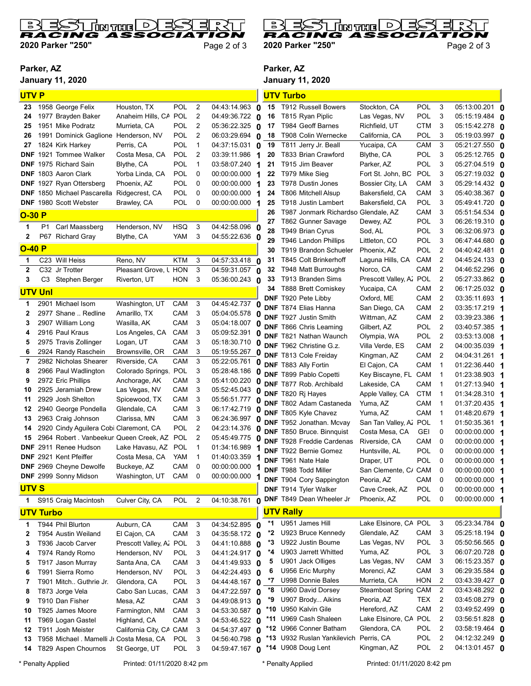

2020 Parker "250" Page 2 of 3

 $\overline{D}$ **Jose van l**  $\mathbf{D}$ Ξ RACII oc r c-2020 Parker "250" Page 2 of 3

## Parker, AZ

January 11, 2020



| <b>UTVP</b>    |                  |                                                   |                              |            |                |                              |                    |                  | <b>UTV Turbo</b>                                          |                              |                   |                   |                                         |  |
|----------------|------------------|---------------------------------------------------|------------------------------|------------|----------------|------------------------------|--------------------|------------------|-----------------------------------------------------------|------------------------------|-------------------|-------------------|-----------------------------------------|--|
| 23             |                  | 1958 George Felix                                 | Houston, TX                  | POL        | $\overline{2}$ | $04:43:14.963$ 0             |                    |                  | 15 T912 Russell Bowers                                    | Stockton, CA                 | <b>POL</b>        | 3                 | 05:13:00.201 0                          |  |
| 24             |                  | 1977 Brayden Baker                                | Anaheim Hills, CA            | <b>POL</b> | $\overline{2}$ | 04:49:36.722 $\alpha$        | 16                 |                  | T815 Ryan Piplic                                          | Las Vegas, NV                | POL               | 3                 | 05:15:19.484 0                          |  |
| 25             |                  | 1951 Mike Podratz                                 | Murrieta, CA                 | POL        | 2              | $05:36:22.325$ 0             | 17                 |                  | T984 Geoff Barnes                                         | Richfield, UT                | <b>CTM</b>        | 3                 | 05:15:42.278 <b>0</b>                   |  |
| 26             |                  | 1991 Dominick Gaglione Henderson, NV              |                              | <b>POL</b> | $\overline{2}$ | 06:03:29.694                 | 18<br>$\mathbf{0}$ |                  | T908 Colin Wernecke                                       | California, CA               | POL               | 3                 | 05:19:03.997 0                          |  |
| 27             |                  | 1824 Kirk Harkey                                  | Perris, CA                   | POL        | $\mathbf{1}$   | 04:37:15.031 0               | 19                 |                  | T811 Jerry Jr. Beall                                      | Yucaipa, CA                  | CAM               | 3                 | 05:21:27.550 0                          |  |
| <b>DNF</b>     |                  | 1921 Tommee Walker                                | Costa Mesa, CA               | POL        | $\overline{2}$ | 03:39:11.986 1               | 20                 |                  | T833 Brian Crawford                                       | Blythe, CA                   | <b>POL</b>        | 3                 | 05:25:12.765 0                          |  |
|                |                  | <b>DNF</b> 1975 Richard Sain                      | Blythe, CA                   | POL        | $\mathbf{1}$   | 03:58:07.240 1               | 21                 |                  | T915 Jim Beaver                                           | Parker, AZ                   | <b>POL</b>        | 3                 | 05:27:04.519 <b>0</b>                   |  |
|                |                  | <b>DNF</b> 1803 Aaron Clark                       | Yorba Linda, CA              | POL        | $\mathbf 0$    | 00:00:00.000 1               | 22                 |                  | T979 Mike Sieg                                            | Fort St. John, BC            | <b>POL</b>        | 3                 | 05:27:19.032 <b>0</b>                   |  |
| <b>DNF</b>     |                  | 1927 Ryan Ottersberg                              | Phoenix, AZ                  | POL        | 0              | 00:00:00.000 1               | 23                 |                  | T978 Dustin Jones                                         | Bossier City, LA             | CAM               | 3                 | 05:29:14.432 <b>በ</b>                   |  |
|                |                  | <b>DNF</b> 1850 Michael Pascarella Ridgecrest, CA |                              | POL        | 0              | 00:00:00.000 1               | 24                 |                  | T806 Mitchell Alsup                                       | Bakersfield, CA              | CAM               | 3                 | 05:40:38.367 <b>O</b>                   |  |
|                |                  | DNF 1980 Scott Webster                            | Brawley, CA                  | POL        | 0              | 00:00:00.000 1               | 25                 |                  | T918 Justin Lambert                                       | Bakersfield, CA              | POL               | 3                 | 05:49:41.720 0                          |  |
| $O-30P$        |                  |                                                   |                              |            |                |                              | 26<br>27           |                  | T987 Jonmark Richardso Glendale, AZ<br>T862 Gunner Savage | Dewey, AZ                    | CAM<br><b>POL</b> | 3<br>3            | 05:51:54.534 <b>0</b><br>06:26:19.310 0 |  |
| 1              | P1               | Carl Maassberg                                    | Henderson, NV                | <b>HSQ</b> | 3              | 04:42:58.096 0               | 28                 |                  | T949 Brian Cyrus                                          | Sod, AL                      | <b>POL</b>        | 3                 | 06:32:06.973 <b>በ</b>                   |  |
| $\mathbf{2}$   |                  | P67 Richard Gray                                  | Blythe, CA                   | <b>YAM</b> | 3              | 04:55:22.636 0               | 29                 |                  | T946 Landon Phillips                                      | Littleton, CO                | POL               | 3                 | 06:47:44.680 <b>0</b>                   |  |
| $O-40P$        |                  |                                                   |                              |            |                |                              | 30                 |                  | T919 Brandon Schueler                                     | Phoenix, AZ                  | POL               | $\overline{2}$    | 04:40:42.481 0                          |  |
| 1              |                  | C23 Will Heiss                                    | Reno, NV                     | KTM        | 3              | 04:57:33.418                 | 31<br>$\Omega$     |                  | T845 Colt Brinkerhoff                                     | Laguna Hills, CA             | CAM               | $\overline{2}$    | 04:45:24.133 0                          |  |
| $\mathbf{2}$   | C32              | Jr Trotter                                        | Pleasant Grove, L HON        |            | 3              | $04:59:31.057$ 0             | 32                 |                  | T948 Matt Burroughs                                       | Norco, CA                    | CAM               | $\overline{2}$    | 04:46:52.296 0                          |  |
| 3              |                  | C3 Stephen Berger                                 | Riverton, UT                 | <b>HON</b> | 3              | 05:36:00.243 0               | 33                 |                  | T913 Branden Sims                                         | Prescott Valley, A. POL      |                   | $\overline{2}$    | 05:27:33.862 0                          |  |
| <b>UTV Unl</b> |                  |                                                   |                              |            |                |                              | 34                 |                  | T888 Brett Comiskey                                       | Yucaipa, CA                  | CAM               | 2                 | 06:17:25.032 <b>0</b>                   |  |
|                |                  |                                                   |                              |            |                |                              |                    |                  | <b>DNF</b> T920 Pete Libby                                | Oxford, ME                   | CAM               | 2                 | 03:35:11.693 1                          |  |
| 1              |                  | 2901 Michael Isom                                 | Washington, UT               | CAM        | 3              | $\overline{04:45:42.737}$ 0  |                    |                  | <b>DNF</b> T874 Elias Hanna                               | San Diego, CA                | CAM               | 2                 |                                         |  |
| 2              |                  | 2977 Shane  Redline                               | Amarillo, TX                 | CAM        | 3              | 05:04:05.578 0               |                    |                  | <b>DNF</b> T927 Justin Smith                              | Wittman, AZ                  | CAM               | $\overline{2}$    | 03:39:23.386                            |  |
| 3<br>4         |                  | 2907 William Long<br>2916 Paul Kraus              | Wasilla, AK                  | CAM<br>CAM | 3<br>3         | 05:04:18.007<br>05:09:52.391 | 0                  |                  | <b>DNF T866 Chris Leaming</b>                             | Gilbert, AZ                  | <b>POL</b>        | 2                 | 03:40:57.385 1                          |  |
| 5              |                  | 2975 Travis Zollinger                             | Los Angeles, CA<br>Logan, UT | CAM        | 3              | 05:18:30.710 0               | 0                  |                  | <b>DNF</b> T821 Nathan Waunch                             | Olympia, WA                  | POL               | 2                 | 03:53:13.008 <b>1</b>                   |  |
| 6              |                  | 2924 Randy Raschein                               | Brownsville, OR              | CAM        | 3              | 05:19:55.267 0               |                    |                  | DNF T962 Christine G.z.                                   | Villa Verde, ES              | CAM               | $\overline{2}$    | 04:00:35.039 <b>1</b>                   |  |
| 7              |                  | 2982 Nicholas Shearer                             | Riverside, CA                | CAM        | 3              | $\overline{0}$ 5:22:05.761 0 |                    |                  | DNF T813 Cole Freiday                                     | Kingman, AZ                  | CAM               | $\overline{2}$    | 04:04:31.261 <b>1</b>                   |  |
| 8              |                  | 2966 Paul Wadlington                              | Colorado Springs,            | POL        | 3              | 05:28:48.186 0               |                    |                  | DNF T883 Ally Fortin                                      | El Cajon, CA                 | CAM               | 1                 | 01:22:36.440 <b>1</b>                   |  |
| 9              |                  | 2972 Eric Phillips                                | Anchorage, AK                | CAM        | 3              | 05:41:00.220                 | 0                  |                  | DNF T899 Pablo Copetti                                    | Key Biscayne, FL CAM         |                   | 1                 | 01:23:38.903 1                          |  |
| 10             |                  | 2925 Jeramiah Drew                                | Las Vegas, NV                | CAM        | 3              | 05:52:45.043                 | 0                  |                  | DNF T877 Rob. Archibald                                   | Lakeside, CA                 | CAM               | 1                 | 01:27:13.940 1                          |  |
| 11             |                  | 2929 Josh Shelton                                 | Spicewood, TX                | CAM        | 3              | 05:56:51.777                 | 0                  |                  | DNF T820 Ri Hayes<br><b>DNF</b> T802 Adam Castaneda       | Apple Valley, CA<br>Yuma, AZ | <b>CTM</b><br>CAM | $\mathbf 1$<br>-1 | 01:34:28.310 1<br>01:37:20.435 1        |  |
| 12             |                  | 2940 George Pondella                              | Glendale, CA                 | CAM        | 3              | 06:17:42.719                 | 0                  |                  | DNF T805 Kyle Chavez                                      | Yuma, AZ                     | CAM               | 1                 |                                         |  |
| 13             |                  | 2963 Craig Johnson                                | Clarissa, MN                 | CAM        | 3              | 06:24:36.997 0               |                    |                  | DNF T952 Jonathan. Mcvay                                  | San Tan Valley, Az POL       |                   | 1                 | 01:50:35.361 1                          |  |
| 14             |                  | 2920 Cindy Aguilera Cobi Claremont, CA            |                              | POL        | $\overline{2}$ | 04:23:14.376 0               |                    |                  | <b>DNF</b> T850 Bruce. Binnquist                          | Costa Mesa, CA               | <b>GEI</b>        | 0                 | 00:00:00.000 1                          |  |
| 15             |                  | 2964 Robert . Vanbeekur Queen Creek, AZ           |                              | <b>POL</b> | 2              | 05:45:49.775 0               |                    |                  | <b>DNF T928 Freddie Cardenas</b>                          | Riverside, CA                | CAM               | 0                 | 00:00:00.000 1                          |  |
| <b>DNF</b>     |                  | 2911 Renee Hudson                                 | Lake Havasu, AZ              | <b>POL</b> | 1              | 01:34:16.989                 |                    |                  | <b>DNF</b> T922 Bernie Gomez                              | Huntsville, AL               | POL               | 0                 | 00:00:00.000 1                          |  |
| <b>DNF</b>     |                  | 2921 Kent Pfeiffer                                | Costa Mesa, CA               | <b>YAM</b> | $\mathbf{1}$   | 01:40:03.359                 |                    |                  | DNF T961 Nate Hale                                        | Draper, UT                   | POL               | 0                 | 00:00:00.000 1                          |  |
| <b>DNF</b>     |                  | 2969 Cheyne Dewolfe                               | Buckeye, AZ                  | CAM        | 0              | 00:00:00.000                 | 1                  |                  | <b>DNF T988 Todd Miller</b>                               | San Clemente, C/ CAM         |                   | $\mathbf 0$       | 00:00:00.000 1                          |  |
|                |                  | DNF 2999 Sonny Midson                             | Washington, UT               | CAM        | 0              | 00:00:00.000                 | 1                  |                  | <b>DNF T904 Cory Sappington</b>                           | Peoria, AZ                   | CAM               | $\overline{0}$    | 00:00:00.000 1                          |  |
| <b>UTVS</b>    |                  |                                                   |                              |            |                |                              |                    |                  | <b>DNF</b> T914 Tyler Walker                              | Cave Creek, AZ               | POL               | 0                 | 00:00:00.000 1                          |  |
| 1              |                  | S915 Craig Macintosh                              | Culver City, CA              | <b>POL</b> | $\overline{2}$ | 04:10:38.761                 | 0                  |                  | DNF T849 Dean Wheeler Jr                                  | Phoenix, AZ                  | POL               | 0                 | 00:00:00.000 1                          |  |
|                | <b>UTV Turbo</b> |                                                   |                              |            |                |                              |                    | <b>UTV Rally</b> |                                                           |                              |                   |                   |                                         |  |
| 1              |                  | T944 Phil Blurton                                 | Auburn, CA                   | CAM        | 3              | 04:34:52.895 0               | *1                 |                  | U951 James Hill                                           | Lake Elsinore, CA POL        |                   | 3                 | 05:23:34.784 0                          |  |
| 2              |                  | T954 Austin Weiland                               | El Cajon, CA                 | CAM        | 3              | 04:35:58.172 0               | *2                 |                  | U923 Bruce Kennedy                                        | Glendale, AZ                 | CAM               | 3                 | 05:25:18.194 0                          |  |
| 3              |                  | T936 Jacob Carver                                 | Prescott Valley, A.          | POL        | 3              | 04:41:10.888 0               | *3                 |                  | U922 Justin Boume                                         | Las Vegas, NV                | <b>POL</b>        | 3                 | 05:50:56.565 0                          |  |
| 4              |                  | T974 Randy Romo                                   | Henderson, NV                | <b>POL</b> | 3              | 04:41:24.917 0               | *4                 |                  | U903 Jarrett Whitted                                      | Yuma, AZ                     | <b>POL</b>        | 3                 | 06:07:20.728 0                          |  |
| 5              |                  | T917 Jason Murray                                 | Santa Ana, CA                | CAM        | 3              | 04:41:49.933 0               | 5                  |                  | U901 Jack Olliges                                         | Las Vegas, NV                | CAM               | 3                 | 06:15:23.357 0                          |  |
| 6              |                  | T991 Sierra Romo                                  | Henderson, NV                | <b>POL</b> | 3              | 04:42:24.493 0               | 6                  |                  | U956 Eric Murphy                                          | Morenci, AZ                  | CAM               | 3                 | 06:29:35.584 0                          |  |
| 7              |                  | T901 Mitch Guthrie Jr.                            | Glendora, CA                 | POL        | 3              | 04:44:48.167 0               | *7                 |                  | U998 Donnie Bales                                         | Murrieta, CA                 | <b>HON</b>        | 2                 | 03:43:39.427 0                          |  |
| 8              |                  | T873 Jorge Vela                                   | Cabo San Lucas,              | CAM        | 3              | 04:47:22.597 0               | *8                 |                  | U960 David Dorsey                                         | Steamboat Spring CAM         |                   | $\overline{c}$    | 03:43:48.292 0                          |  |
| 9              |                  | T910 Dan Fisher                                   | Mesa, AZ                     | CAM        | 3              | 04:49:08.913 0               | *9                 |                  | U907 Brody Aikins                                         | Peoria, AZ                   | TEX               | 2                 | 03:45:08.279 0                          |  |
| 10             |                  | T925 James Moore                                  | Farmington, NM               | CAM        | 3              | 04:53:30.587 0               | *10                |                  | U950 Kalvin Gile                                          | Hereford, AZ                 | CAM               | 2                 | 03:49:52.499 0                          |  |
| 11             |                  | T969 Logan Gastel                                 | Highland, CA                 | CAM        | 3              | 04:53:46.522 0               | $*11$              |                  | U969 Cash Shaleen                                         | Lake Elsinore, CA POL        |                   | 2                 | 03:56:51.828 0                          |  |
| 12             |                  | T911 Josh Meister                                 | California City, CA CAM      |            | 3              | 04:54:37.497 0               |                    |                  | *12 U966 Conner Batham                                    | Glendora, CA                 | POL               | 2                 | 03:58:19.464 0                          |  |
| 13             |                  | T958 Michael . Mamelli Jı Costa Mesa, CA          |                              | <b>POL</b> | 3              | 04:56:40.798                 | $\Omega$           |                  | *13 U932 Ruslan Yankilevich Perris, CA                    |                              | <b>POL</b>        | 2                 | 04:12:32.249 0                          |  |
| 14             |                  | T829 Aspen Chournos                               | St George, UT                | <b>POL</b> | 3              | 04:59:47.167 0               |                    |                  | *14 U908 Doug Lent                                        | Kingman, AZ                  | POL               | 2                 | 04:13:01.457 0                          |  |